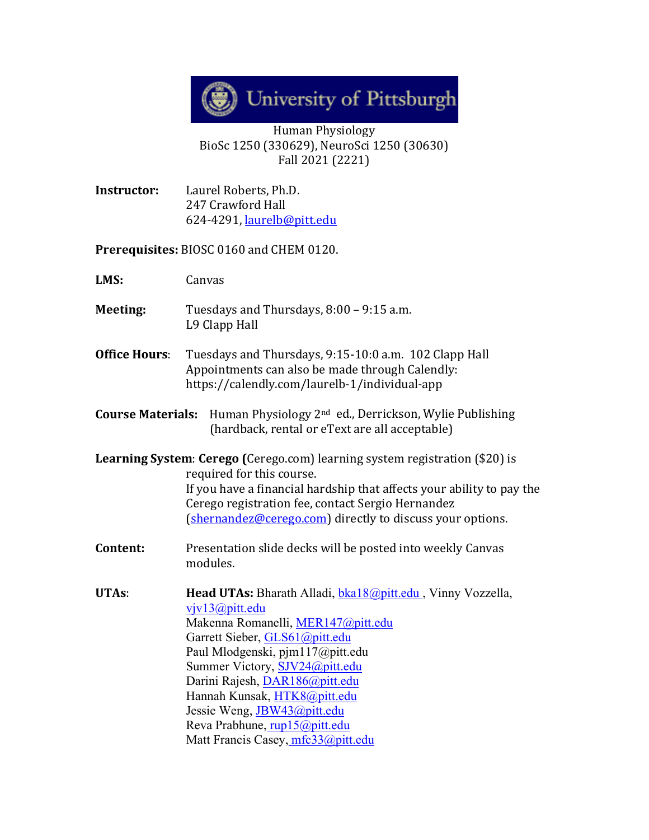

## Human Physiology BioSc 1250 (330629), NeuroSci 1250 (30630) Fall 2021 (2221)

**Instructor:** Laurel Roberts, Ph.D. 247 Crawford Hall 624-4291, [laurelb@pitt.edu](mailto:laurelb@pitt.edu)

**Prerequisites:** BIOSC 0160 and CHEM 0120.

**LMS:** Canvas

- **Meeting:** Tuesdays and Thursdays, 8:00 9:15 a.m. L9 Clapp Hall
- **Office Hours**: Tuesdays and Thursdays, 9:15-10:0 a.m. 102 Clapp Hall Appointments can also be made through Calendly: https://calendly.com/laurelb-1/individual-app
- **Course Materials:** Human Physiology 2nd ed., Derrickson, Wylie Publishing (hardback, rental or eText are all acceptable)

**Learning System**: **Cerego (**Cerego.com) learning system registration (\$20) is required for this course. If you have a financial hardship that affects your ability to pay the Cerego registration fee, contact Sergio Hernandez [\(shernandez@cerego.com\)](mailto:shernandez@cerego.com) directly to discuss your options.

**Content:** Presentation slide decks will be posted into weekly Canvas modules.

**UTAs**: **Head UTAs:** Bharath Alladi, [bka18@pitt.edu](mailto:bka18@pitt.edu) , Vinny Vozzella, [vjv13@pitt.edu](mailto:vjv13@pitt.edu) Makenna Romanelli, [MER147@pitt.edu](mailto:MER147@pitt.edu) Garrett Sieber, [GLS61@pitt.edu](mailto:GLS61@pitt.edu) Paul Mlodgenski, pjm117@pitt.edu Summer Victory, [SJV24@pitt.edu](mailto:SJV24@pitt.edu) Darini Rajesh, [DAR186@pitt.edu](mailto:DAR186@pitt.edu) Hannah Kunsak, [HTK8@pitt.edu](mailto:HTK8@pitt.edu) Jessie Weng, [JBW43@pitt.edu](mailto:JBW43@pitt.edu) Reva Prabhune, [rup15@pitt.edu](mailto:rup15@pitt.edu) Matt Francis Casey, mfc33@pitt.edu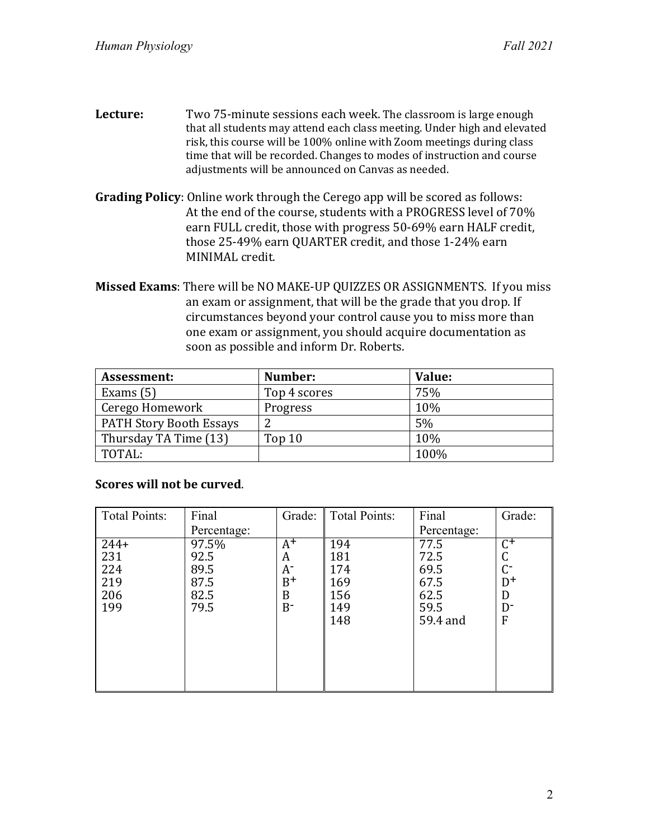- **Lecture:** Two 75-minute sessions each week. The classroom is large enough that all students may attend each class meeting. Under high and elevated risk, this course will be 100% online with Zoom meetings during class time that will be recorded. Changes to modes of instruction and course adjustments will be announced on Canvas as needed.
- **Grading Policy**: Online work through the Cerego app will be scored as follows: At the end of the course, students with a PROGRESS level of 70% earn FULL credit, those with progress 50-69% earn HALF credit, those 25-49% earn QUARTER credit, and those 1-24% earn MINIMAL credit.
- **Missed Exams**: There will be NO MAKE-UP QUIZZES OR ASSIGNMENTS. If you miss an exam or assignment, that will be the grade that you drop. If circumstances beyond your control cause you to miss more than one exam or assignment, you should acquire documentation as soon as possible and inform Dr. Roberts.

| Assessment:                    | Number:      | Value: |
|--------------------------------|--------------|--------|
| Exams $(5)$                    | Top 4 scores | 75%    |
| Cerego Homework                | Progress     | 10%    |
| <b>PATH Story Booth Essays</b> |              | 5%     |
| Thursday TA Time (13)          | Top 10       | 10%    |
| TOTAL:                         |              | 100%   |

## **Scores will not be curved**.

| <b>Total Points:</b> | Final       | Grade: | <b>Total Points:</b> | Final       | Grade:         |
|----------------------|-------------|--------|----------------------|-------------|----------------|
|                      | Percentage: |        |                      | Percentage: |                |
| $244+$               | 97.5%       | $A^+$  | 194                  | 77.5        | C+             |
| 231                  | 92.5        | A      | 181                  | 72.5        |                |
| 224<br>219           | 89.5        | A-     | 174                  | 69.5        | C-             |
|                      | 87.5        | $B^+$  | 169                  | 67.5        | $D^+$          |
| 206                  | 82.5        | B      | 156                  | 62.5        | D              |
| 199                  | 79.5        | $B^-$  | 149                  | 59.5        | D <sup>-</sup> |
|                      |             |        | 148                  | 59.4 and    | F              |
|                      |             |        |                      |             |                |
|                      |             |        |                      |             |                |
|                      |             |        |                      |             |                |
|                      |             |        |                      |             |                |
|                      |             |        |                      |             |                |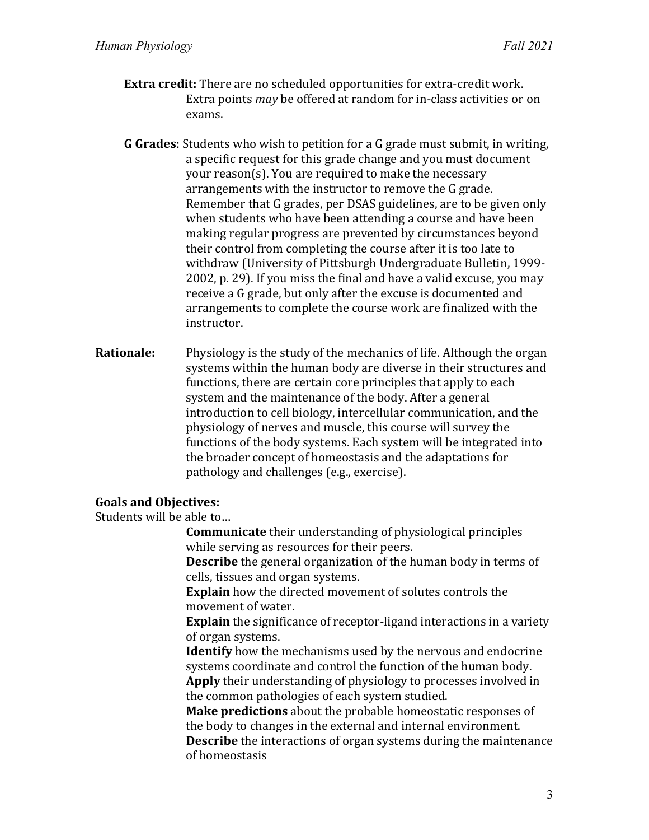- **Extra credit:** There are no scheduled opportunities for extra-credit work. Extra points *may* be offered at random for in-class activities or on exams.
- **G Grades**: Students who wish to petition for a G grade must submit, in writing, a specific request for this grade change and you must document your reason(s). You are required to make the necessary arrangements with the instructor to remove the G grade. Remember that G grades, per DSAS guidelines, are to be given only when students who have been attending a course and have been making regular progress are prevented by circumstances beyond their control from completing the course after it is too late to withdraw (University of Pittsburgh Undergraduate Bulletin, 1999- 2002, p. 29). If you miss the final and have a valid excuse, you may receive a G grade, but only after the excuse is documented and arrangements to complete the course work are finalized with the instructor.
- **Rationale:** Physiology is the study of the mechanics of life. Although the organ systems within the human body are diverse in their structures and functions, there are certain core principles that apply to each system and the maintenance of the body. After a general introduction to cell biology, intercellular communication, and the physiology of nerves and muscle, this course will survey the functions of the body systems. Each system will be integrated into the broader concept of homeostasis and the adaptations for pathology and challenges (e.g., exercise).

## **Goals and Objectives:**

Students will be able to…

**Communicate** their understanding of physiological principles while serving as resources for their peers.

**Describe** the general organization of the human body in terms of cells, tissues and organ systems.

**Explain** how the directed movement of solutes controls the movement of water.

**Explain** the significance of receptor-ligand interactions in a variety of organ systems.

**Identify** how the mechanisms used by the nervous and endocrine systems coordinate and control the function of the human body. **Apply** their understanding of physiology to processes involved in the common pathologies of each system studied.

**Make predictions** about the probable homeostatic responses of the body to changes in the external and internal environment. **Describe** the interactions of organ systems during the maintenance of homeostasis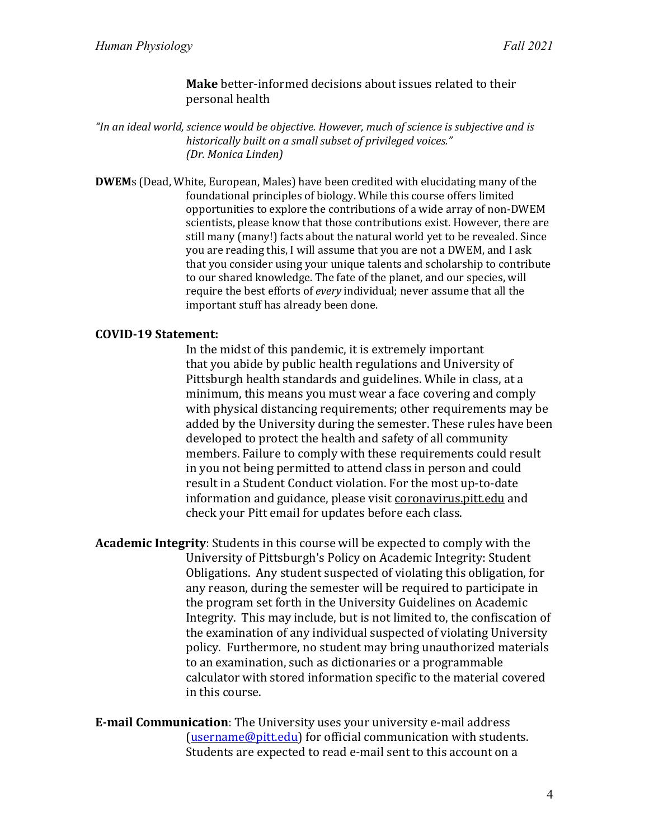**Make** better-informed decisions about issues related to their personal health

*"In an ideal world, science would be objective. However, much of science is subjective and is historically built on a small subset of privileged voices." (Dr. Monica Linden)*

**DWEM**s (Dead, White, European, Males) have been credited with elucidating many of the foundational principles of biology. While this course offers limited opportunities to explore the contributions of a wide array of non-DWEM scientists, please know that those contributions exist. However, there are still many (many!) facts about the natural world yet to be revealed. Since you are reading this, I will assume that you are not a DWEM, and I ask that you consider using your unique talents and scholarship to contribute to our shared knowledge. The fate of the planet, and our species, will require the best efforts of *every* individual; never assume that all the important stuff has already been done.

## **COVID-19 Statement:**

In the midst of this pandemic, it is extremely important that you abide by public health regulations and University of Pittsburgh health standards and guidelines. While in class, at a minimum, this means you must wear a face covering and comply with physical distancing requirements; other requirements may be added by the University during the semester. These rules have been developed to protect the health and safety of all community members. Failure to comply with these requirements could result in you not being permitted to attend class in person and could result in a Student Conduct violation. For the most up-to-date information and guidance, please visit [coronavirus.pitt.edu](http://coronavirus.pitt.edu/) and check your Pitt email for updates before each class.

**Academic Integrity**: Students in this course will be expected to comply with the University of Pittsburgh's Policy on Academic Integrity: Student Obligations. Any student suspected of violating this obligation, for any reason, during the semester will be required to participate in the program set forth in the University Guidelines on Academic Integrity. This may include, but is not limited to, the confiscation of the examination of any individual suspected of violating University policy. Furthermore, no student may bring unauthorized materials to an examination, such as dictionaries or a programmable calculator with stored information specific to the material covered in this course.

**E-mail Communication**: The University uses your university e-mail address [\(username@pitt.edu\)](mailto:username@pitt.edu) for official communication with students. Students are expected to read e-mail sent to this account on a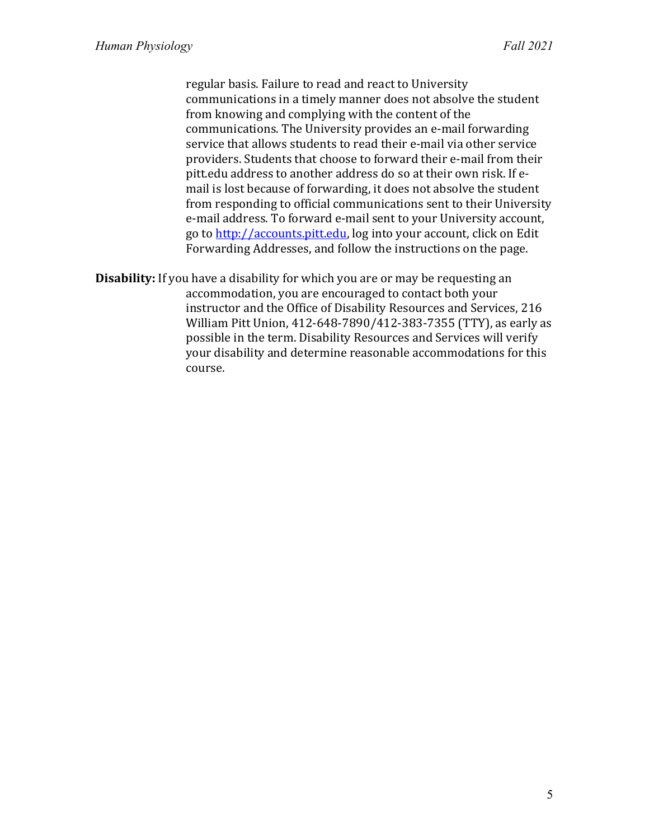regular basis. Failure to read and react to University communications in a timely manner does not absolve the student from knowing and complying with the content of the communications. The University provides an e-mail forwarding service that allows students to read their e-mail via other service providers. Students that choose to forward their e-mail from their pitt.edu address to another address do so at their own risk. If email is lost because of forwarding, it does not absolve the student from responding to official communications sent to their University e-mail address. To forward e-mail sent to your University account, go to [http://accounts.pitt.edu,](http://accounts.pitt.edu/) log into your account, click on Edit Forwarding Addresses, and follow the instructions on the page.

**Disability:** If you have a disability for which you are or may be requesting an accommodation, you are encouraged to contact both your instructor and the Office of Disability Resources and Services, 216 William Pitt Union, 412-648-7890/412-383-7355 (TTY), as early as possible in the term. Disability Resources and Services will verify your disability and determine reasonable accommodations for this course.